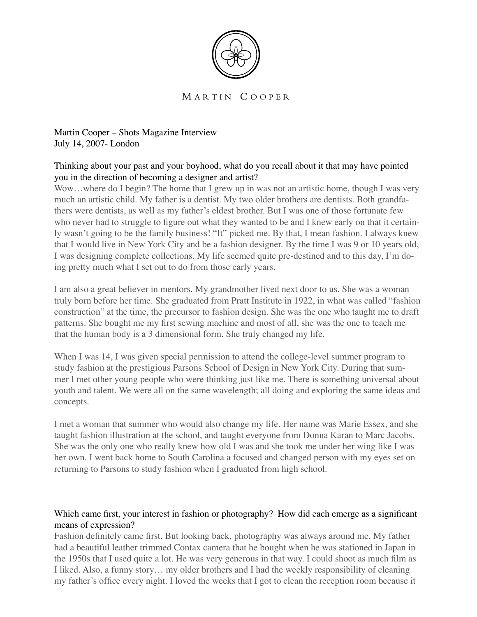

### MARTIN COOPER

Martin Cooper – Shots Magazine Interview July 14, 2007- London

# Thinking about your past and your boyhood, what do you recall about it that may have pointed you in the direction of becoming a designer and artist?

Wow...where do I begin? The home that I grew up in was not an artistic home, though I was very much an artistic child. My father is a dentist. My two older brothers are dentists. Both grandfathers were dentists, as well as my father's eldest brother. But I was one of those fortunate few who never had to struggle to figure out what they wanted to be and I knew early on that it certainly wasn't going to be the family business! "It" picked me. By that, I mean fashion. I always knew that I would live in New York City and be a fashion designer. By the time I was 9 or 10 years old, I was designing complete collections. My life seemed quite pre-destined and to this day, I'm doing pretty much what I set out to do from those early years.

I am also a great believer in mentors. My grandmother lived next door to us. She was a woman truly born before her time. She graduated from Pratt Institute in 1922, in what was called "fashion construction" at the time, the precursor to fashion design. She was the one who taught me to draft patterns. She bought me my first sewing machine and most of all, she was the one to teach me that the human body is a 3 dimensional form. She truly changed my life.

When I was 14, I was given special permission to attend the college-level summer program to study fashion at the prestigious Parsons School of Design in New York City. During that summer I met other young people who were thinking just like me. There is something universal about youth and talent. We were all on the same wavelength; all doing and exploring the same ideas and concepts.

I met a woman that summer who would also change my life. Her name was Marie Essex, and she taught fashion illustration at the school, and taught everyone from Donna Karan to Marc Jacobs. She was the only one who really knew how old I was and she took me under her wing like I was her own. I went back home to South Carolina a focused and changed person with my eyes set on returning to Parsons to study fashion when I graduated from high school.

# Which came first, your interest in fashion or photography? How did each emerge as a significant means of expression?

Fashion definitely came first. But looking back, photography was always around me. My father had a beautiful leather trimmed Contax camera that he bought when he was stationed in Japan in the 1950s that I used quite a lot. He was very generous in that way. I could shoot as much film as I liked. Also, a funny story… my older brothers and I had the weekly responsibility of cleaning my father's office every night. I loved the weeks that I got to clean the reception room because it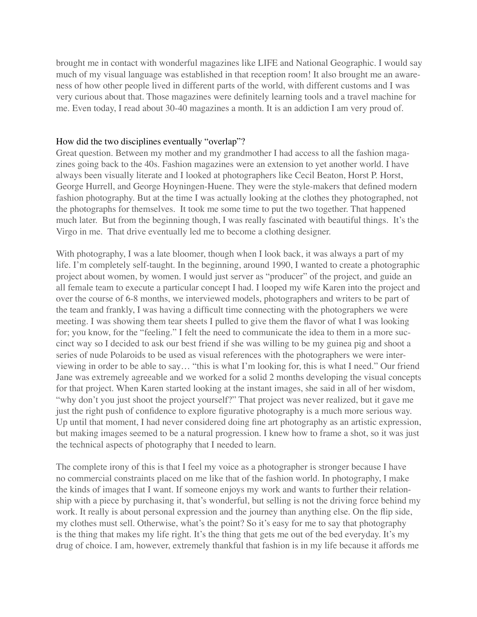brought me in contact with wonderful magazines like LIFE and National Geographic. I would say much of my visual language was established in that reception room! It also brought me an awareness of how other people lived in different parts of the world, with different customs and I was very curious about that. Those magazines were definitely learning tools and a travel machine for me. Even today, I read about 30-40 magazines a month. It is an addiction I am very proud of.

#### How did the two disciplines eventually "overlap"?

Great question. Between my mother and my grandmother I had access to all the fashion magazines going back to the 40s. Fashion magazines were an extension to yet another world. I have always been visually literate and I looked at photographers like Cecil Beaton, Horst P. Horst, George Hurrell, and George Hoyningen-Huene. They were the style-makers that defined modern fashion photography. But at the time I was actually looking at the clothes they photographed, not the photographs for themselves. It took me some time to put the two together. That happened much later. But from the beginning though, I was really fascinated with beautiful things. It's the Virgo in me. That drive eventually led me to become a clothing designer.

With photography, I was a late bloomer, though when I look back, it was always a part of my life. I'm completely self-taught. In the beginning, around 1990, I wanted to create a photographic project about women, by women. I would just server as "producer" of the project, and guide an all female team to execute a particular concept I had. I looped my wife Karen into the project and over the course of 6-8 months, we interviewed models, photographers and writers to be part of the team and frankly, I was having a difficult time connecting with the photographers we were meeting. I was showing them tear sheets I pulled to give them the flavor of what I was looking for; you know, for the "feeling." I felt the need to communicate the idea to them in a more succinct way so I decided to ask our best friend if she was willing to be my guinea pig and shoot a series of nude Polaroids to be used as visual references with the photographers we were interviewing in order to be able to say… "this is what I'm looking for, this is what I need." Our friend Jane was extremely agreeable and we worked for a solid 2 months developing the visual concepts for that project. When Karen started looking at the instant images, she said in all of her wisdom, "why don't you just shoot the project yourself?" That project was never realized, but it gave me just the right push of confidence to explore figurative photography is a much more serious way. Up until that moment, I had never considered doing fine art photography as an artistic expression, but making images seemed to be a natural progression. I knew how to frame a shot, so it was just the technical aspects of photography that I needed to learn.

The complete irony of this is that I feel my voice as a photographer is stronger because I have no commercial constraints placed on me like that of the fashion world. In photography, I make the kinds of images that I want. If someone enjoys my work and wants to further their relationship with a piece by purchasing it, that's wonderful, but selling is not the driving force behind my work. It really is about personal expression and the journey than anything else. On the flip side, my clothes must sell. Otherwise, what's the point? So it's easy for me to say that photography is the thing that makes my life right. It's the thing that gets me out of the bed everyday. It's my drug of choice. I am, however, extremely thankful that fashion is in my life because it affords me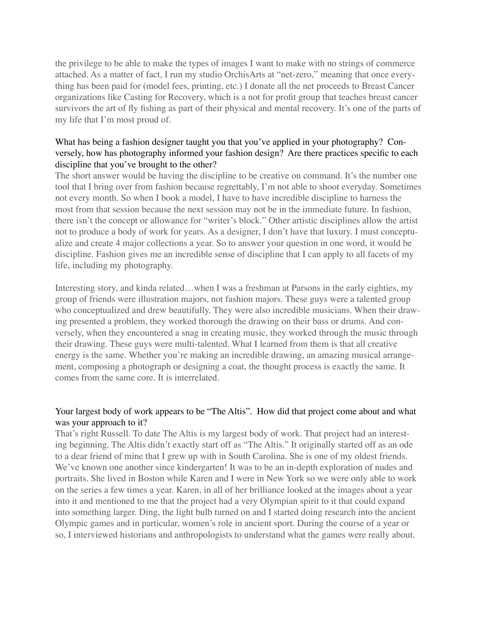the privilege to be able to make the types of images I want to make with no strings of commerce attached. As a matter of fact, I run my studio OrchisArts at "net-zero," meaning that once everything has been paid for (model fees, printing, etc.) I donate all the net proceeds to Breast Cancer organizations like Casting for Recovery, which is a not for profit group that teaches breast cancer survivors the art of fly fishing as part of their physical and mental recovery. It's one of the parts of my life that I'm most proud of.

# What has being a fashion designer taught you that you've applied in your photography? Conversely, how has photography informed your fashion design? Are there practices specific to each discipline that you've brought to the other?

The short answer would be having the discipline to be creative on command. It's the number one tool that I bring over from fashion because regrettably, I'm not able to shoot everyday. Sometimes not every month. So when I book a model, I have to have incredible discipline to harness the most from that session because the next session may not be in the immediate future. In fashion, there isn't the concept or allowance for "writer's block." Other artistic disciplines allow the artist not to produce a body of work for years. As a designer, I don't have that luxury. I must conceptualize and create 4 major collections a year. So to answer your question in one word, it would be discipline. Fashion gives me an incredible sense of discipline that I can apply to all facets of my life, including my photography.

Interesting story, and kinda related…when I was a freshman at Parsons in the early eighties, my group of friends were illustration majors, not fashion majors. These guys were a talented group who conceptualized and drew beautifully. They were also incredible musicians. When their drawing presented a problem, they worked thorough the drawing on their bass or drums. And conversely, when they encountered a snag in creating music, they worked through the music through their drawing. These guys were multi-talented. What I learned from them is that all creative energy is the same. Whether you're making an incredible drawing, an amazing musical arrangement, composing a photograph or designing a coat, the thought process is exactly the same. It comes from the same core. It is interrelated.

# Your largest body of work appears to be "The Altis". How did that project come about and what was your approach to it?

That's right Russell. To date The Altis is my largest body of work. That project had an interesting beginning. The Altis didn't exactly start off as "The Altis." It originally started off as an ode to a dear friend of mine that I grew up with in South Carolina. She is one of my oldest friends. We've known one another since kindergarten! It was to be an in-depth exploration of nudes and portraits. She lived in Boston while Karen and I were in New York so we were only able to work on the series a few times a year. Karen, in all of her brilliance looked at the images about a year into it and mentioned to me that the project had a very Olympian spirit to it that could expand into something larger. Ding, the light bulb turned on and I started doing research into the ancient Olympic games and in particular, women's role in ancient sport. During the course of a year or so, I interviewed historians and anthropologists to understand what the games were really about.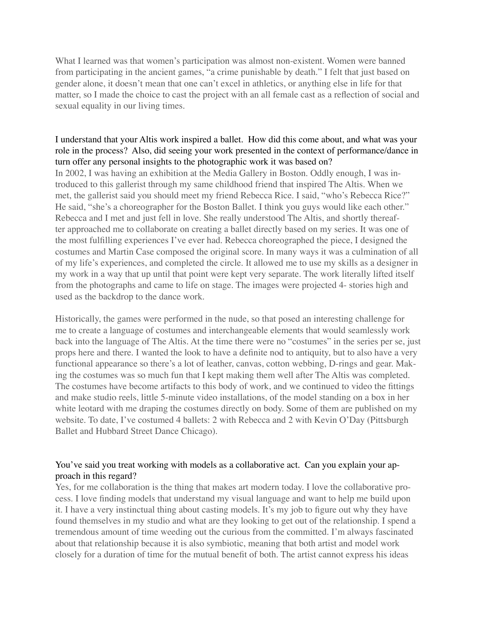What I learned was that women's participation was almost non-existent. Women were banned from participating in the ancient games, "a crime punishable by death." I felt that just based on gender alone, it doesn't mean that one can't excel in athletics, or anything else in life for that matter, so I made the choice to cast the project with an all female cast as a reflection of social and sexual equality in our living times.

## I understand that your Altis work inspired a ballet. How did this come about, and what was your role in the process? Also, did seeing your work presented in the context of performance/dance in turn offer any personal insights to the photographic work it was based on?

In 2002, I was having an exhibition at the Media Gallery in Boston. Oddly enough, I was introduced to this gallerist through my same childhood friend that inspired The Altis. When we met, the gallerist said you should meet my friend Rebecca Rice. I said, "who's Rebecca Rice?" He said, "she's a choreographer for the Boston Ballet. I think you guys would like each other." Rebecca and I met and just fell in love. She really understood The Altis, and shortly thereafter approached me to collaborate on creating a ballet directly based on my series. It was one of the most fulfilling experiences I've ever had. Rebecca choreographed the piece, I designed the costumes and Martin Case composed the original score. In many ways it was a culmination of all of my life's experiences, and completed the circle. It allowed me to use my skills as a designer in my work in a way that up until that point were kept very separate. The work literally lifted itself from the photographs and came to life on stage. The images were projected 4- stories high and used as the backdrop to the dance work.

Historically, the games were performed in the nude, so that posed an interesting challenge for me to create a language of costumes and interchangeable elements that would seamlessly work back into the language of The Altis. At the time there were no "costumes" in the series per se, just props here and there. I wanted the look to have a definite nod to antiquity, but to also have a very functional appearance so there's a lot of leather, canvas, cotton webbing, D-rings and gear. Making the costumes was so much fun that I kept making them well after The Altis was completed. The costumes have become artifacts to this body of work, and we continued to video the fittings and make studio reels, little 5-minute video installations, of the model standing on a box in her white leotard with me draping the costumes directly on body. Some of them are published on my website. To date, I've costumed 4 ballets: 2 with Rebecca and 2 with Kevin O'Day (Pittsburgh Ballet and Hubbard Street Dance Chicago).

# You've said you treat working with models as a collaborative act. Can you explain your approach in this regard?

Yes, for me collaboration is the thing that makes art modern today. I love the collaborative process. I love finding models that understand my visual language and want to help me build upon it. I have a very instinctual thing about casting models. It's my job to figure out why they have found themselves in my studio and what are they looking to get out of the relationship. I spend a tremendous amount of time weeding out the curious from the committed. I'm always fascinated about that relationship because it is also symbiotic, meaning that both artist and model work closely for a duration of time for the mutual benefit of both. The artist cannot express his ideas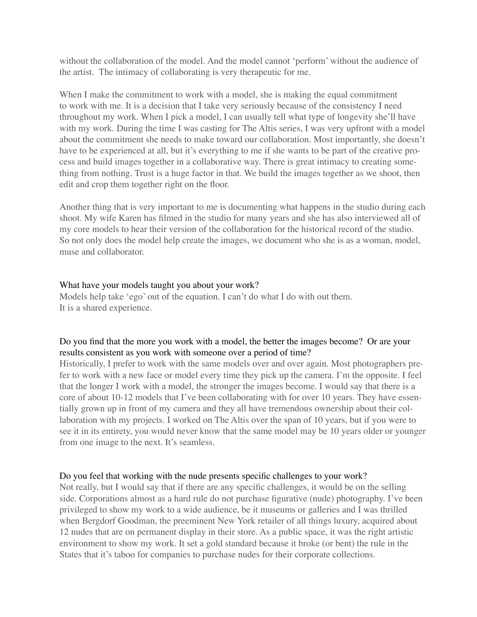without the collaboration of the model. And the model cannot 'perform' without the audience of the artist. The intimacy of collaborating is very therapeutic for me.

When I make the commitment to work with a model, she is making the equal commitment to work with me. It is a decision that I take very seriously because of the consistency I need throughout my work. When I pick a model, I can usually tell what type of longevity she'll have with my work. During the time I was casting for The Altis series, I was very upfront with a model about the commitment she needs to make toward our collaboration. Most importantly, she doesn't have to be experienced at all, but it's everything to me if she wants to be part of the creative process and build images together in a collaborative way. There is great intimacy to creating something from nothing. Trust is a huge factor in that. We build the images together as we shoot, then edit and crop them together right on the floor.

Another thing that is very important to me is documenting what happens in the studio during each shoot. My wife Karen has filmed in the studio for many years and she has also interviewed all of my core models to hear their version of the collaboration for the historical record of the studio. So not only does the model help create the images, we document who she is as a woman, model, muse and collaborator.

### What have your models taught you about your work?

Models help take 'ego' out of the equation. I can't do what I do with out them. It is a shared experience.

# Do you find that the more you work with a model, the better the images become? Or are your results consistent as you work with someone over a period of time?

Historically, I prefer to work with the same models over and over again. Most photographers prefer to work with a new face or model every time they pick up the camera. I'm the opposite. I feel that the longer I work with a model, the stronger the images become. I would say that there is a core of about 10-12 models that I've been collaborating with for over 10 years. They have essentially grown up in front of my camera and they all have tremendous ownership about their collaboration with my projects. I worked on The Altis over the span of 10 years, but if you were to see it in its entirety, you would never know that the same model may be 10 years older or younger from one image to the next. It's seamless.

### Do you feel that working with the nude presents specific challenges to your work?

Not really, but I would say that if there are any specific challenges, it would be on the selling side. Corporations almost as a hard rule do not purchase figurative (nude) photography. I've been privileged to show my work to a wide audience, be it museums or galleries and I was thrilled when Bergdorf Goodman, the preeminent New York retailer of all things luxury, acquired about 12 nudes that are on permanent display in their store. As a public space, it was the right artistic environment to show my work. It set a gold standard because it broke (or bent) the rule in the States that it's taboo for companies to purchase nudes for their corporate collections.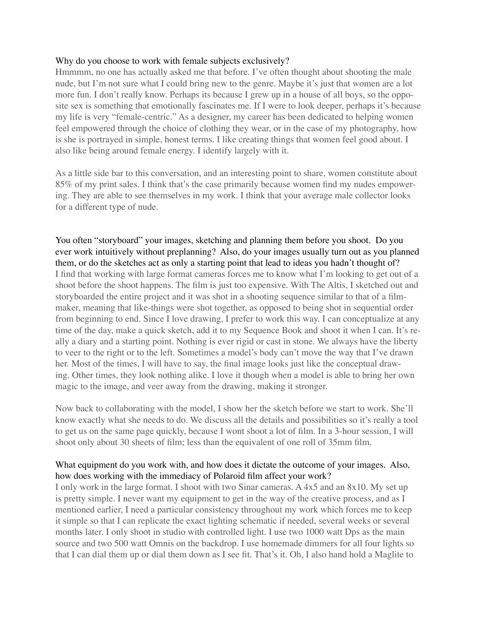### Why do you choose to work with female subjects exclusively?

Hmmmm, no one has actually asked me that before. I've often thought about shooting the male nude, but I'm not sure what I could bring new to the genre. Maybe it's just that women are a lot more fun. I don't really know. Perhaps its because I grew up in a house of all boys, so the opposite sex is something that emotionally fascinates me. If I were to look deeper, perhaps it's because my life is very "female-centric." As a designer, my career has been dedicated to helping women feel empowered through the choice of clothing they wear, or in the case of my photography, how is she is portrayed in simple, honest terms. I like creating things that women feel good about. I also like being around female energy. I identify largely with it.

As a little side bar to this conversation, and an interesting point to share, women constitute about 85% of my print sales. I think that's the case primarily because women find my nudes empowering. They are able to see themselves in my work. I think that your average male collector looks for a different type of nude.

You often "storyboard" your images, sketching and planning them before you shoot. Do you ever work intuitively without preplanning? Also, do your images usually turn out as you planned them, or do the sketches act as only a starting point that lead to ideas you hadn't thought of? I find that working with large format cameras forces me to know what I'm looking to get out of a shoot before the shoot happens. The film is just too expensive. With The Altis, I sketched out and storyboarded the entire project and it was shot in a shooting sequence similar to that of a filmmaker, meaning that like-things were shot together, as opposed to being shot in sequential order from beginning to end. Since I love drawing, I prefer to work this way. I can conceptualize at any time of the day, make a quick sketch, add it to my Sequence Book and shoot it when I can. It's really a diary and a starting point. Nothing is ever rigid or cast in stone. We always have the liberty to veer to the right or to the left. Sometimes a model's body can't move the way that I've drawn her. Most of the times, I will have to say, the final image looks just like the conceptual drawing. Other times, they look nothing alike. I love it though when a model is able to bring her own magic to the image, and veer away from the drawing, making it stronger.

Now back to collaborating with the model, I show her the sketch before we start to work. She'll know exactly what she needs to do. We discuss all the details and possibilities so it's really a tool to get us on the same page quickly, because I wont shoot a lot of film. In a 3-hour session, I will shoot only about 30 sheets of film; less than the equivalent of one roll of 35mm film.

# What equipment do you work with, and how does it dictate the outcome of your images. Also, how does working with the immediacy of Polaroid film affect your work?

I only work in the large format. I shoot with two Sinar cameras. A 4x5 and an 8x10. My set up is pretty simple. I never want my equipment to get in the way of the creative process, and as I mentioned earlier, I need a particular consistency throughout my work which forces me to keep it simple so that I can replicate the exact lighting schematic if needed, several weeks or several months later. I only shoot in studio with controlled light. I use two 1000 watt Dps as the main source and two 500 watt Omnis on the backdrop. I use homemade dimmers for all four lights so that I can dial them up or dial them down as I see fit. That's it. Oh, I also hand hold a Maglite to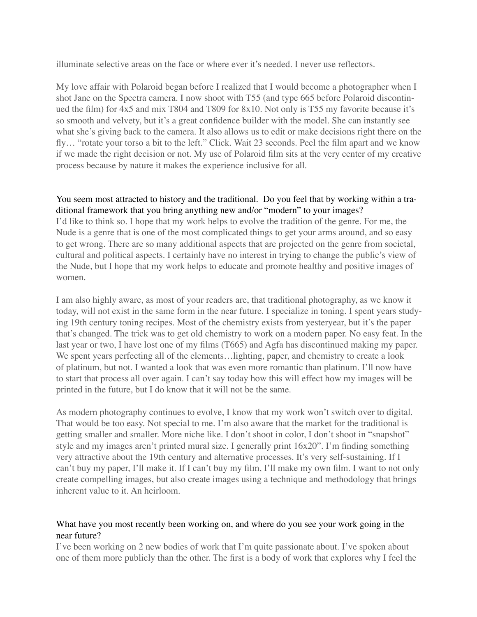illuminate selective areas on the face or where ever it's needed. I never use reflectors.

My love affair with Polaroid began before I realized that I would become a photographer when I shot Jane on the Spectra camera. I now shoot with T55 (and type 665 before Polaroid discontinued the film) for 4x5 and mix T804 and T809 for 8x10. Not only is T55 my favorite because it's so smooth and velvety, but it's a great confidence builder with the model. She can instantly see what she's giving back to the camera. It also allows us to edit or make decisions right there on the fly… "rotate your torso a bit to the left." Click. Wait 23 seconds. Peel the film apart and we know if we made the right decision or not. My use of Polaroid film sits at the very center of my creative process because by nature it makes the experience inclusive for all.

# You seem most attracted to history and the traditional. Do you feel that by working within a traditional framework that you bring anything new and/or "modern" to your images?

I'd like to think so. I hope that my work helps to evolve the tradition of the genre. For me, the Nude is a genre that is one of the most complicated things to get your arms around, and so easy to get wrong. There are so many additional aspects that are projected on the genre from societal, cultural and political aspects. I certainly have no interest in trying to change the public's view of the Nude, but I hope that my work helps to educate and promote healthy and positive images of women.

I am also highly aware, as most of your readers are, that traditional photography, as we know it today, will not exist in the same form in the near future. I specialize in toning. I spent years studying 19th century toning recipes. Most of the chemistry exists from yesteryear, but it's the paper that's changed. The trick was to get old chemistry to work on a modern paper. No easy feat. In the last year or two, I have lost one of my films (T665) and Agfa has discontinued making my paper. We spent years perfecting all of the elements…lighting, paper, and chemistry to create a look of platinum, but not. I wanted a look that was even more romantic than platinum. I'll now have to start that process all over again. I can't say today how this will effect how my images will be printed in the future, but I do know that it will not be the same.

As modern photography continues to evolve, I know that my work won't switch over to digital. That would be too easy. Not special to me. I'm also aware that the market for the traditional is getting smaller and smaller. More niche like. I don't shoot in color, I don't shoot in "snapshot" style and my images aren't printed mural size. I generally print 16x20". I'm finding something very attractive about the 19th century and alternative processes. It's very self-sustaining. If I can't buy my paper, I'll make it. If I can't buy my film, I'll make my own film. I want to not only create compelling images, but also create images using a technique and methodology that brings inherent value to it. An heirloom.

# What have you most recently been working on, and where do you see your work going in the near future?

I've been working on 2 new bodies of work that I'm quite passionate about. I've spoken about one of them more publicly than the other. The first is a body of work that explores why I feel the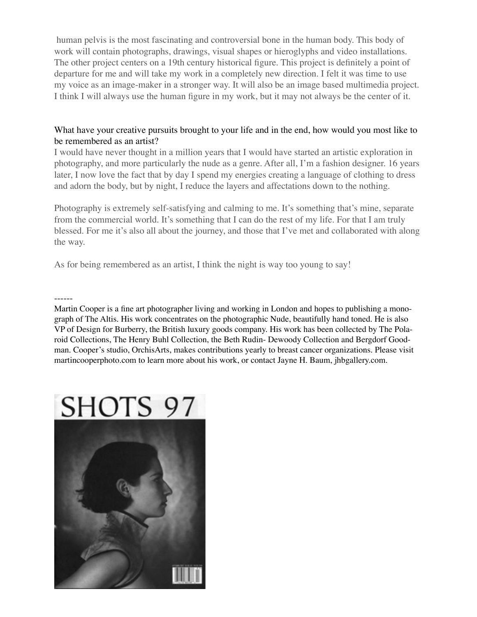human pelvis is the most fascinating and controversial bone in the human body. This body of work will contain photographs, drawings, visual shapes or hieroglyphs and video installations. The other project centers on a 19th century historical figure. This project is definitely a point of departure for me and will take my work in a completely new direction. I felt it was time to use my voice as an image-maker in a stronger way. It will also be an image based multimedia project. I think I will always use the human figure in my work, but it may not always be the center of it.

# What have your creative pursuits brought to your life and in the end, how would you most like to be remembered as an artist?

I would have never thought in a million years that I would have started an artistic exploration in photography, and more particularly the nude as a genre. After all, I'm a fashion designer. 16 years later, I now love the fact that by day I spend my energies creating a language of clothing to dress and adorn the body, but by night, I reduce the layers and affectations down to the nothing.

Photography is extremely self-satisfying and calming to me. It's something that's mine, separate from the commercial world. It's something that I can do the rest of my life. For that I am truly blessed. For me it's also all about the journey, and those that I've met and collaborated with along the way.

As for being remembered as an artist, I think the night is way too young to say!

------

Martin Cooper is a fine art photographer living and working in London and hopes to publishing a monograph of The Altis. His work concentrates on the photographic Nude, beautifully hand toned. He is also VP of Design for Burberry, the British luxury goods company. His work has been collected by The Polaroid Collections, The Henry Buhl Collection, the Beth Rudin- Dewoody Collection and Bergdorf Goodman. Cooper's studio, OrchisArts, makes contributions yearly to breast cancer organizations. Please visit martincooperphoto.com to learn more about his work, or contact Jayne H. Baum, jhbgallery.com.